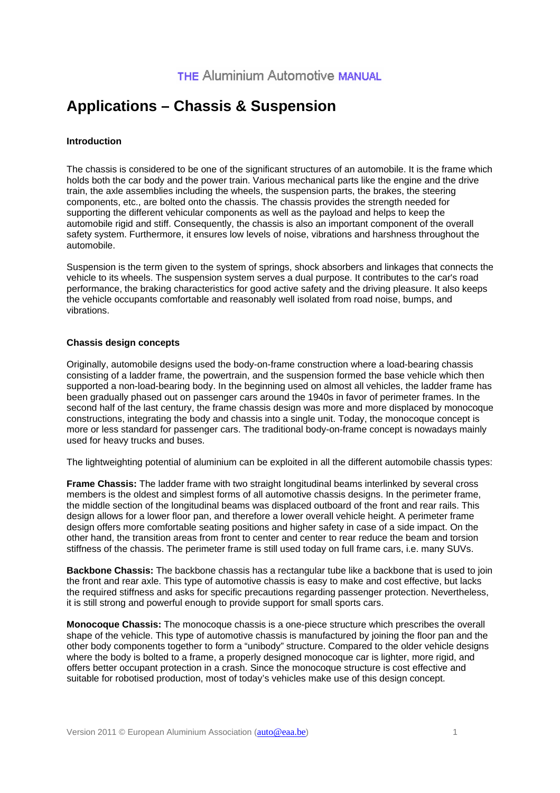# **Applications – Chassis & Suspension**

### **Introduction**

The chassis is considered to be one of the significant structures of an automobile. It is the frame which holds both the car body and the power train. Various mechanical parts like the engine and the drive train, the axle assemblies including the wheels, the suspension parts, the brakes, the steering components, etc., are bolted onto the chassis. The chassis provides the strength needed for supporting the different vehicular components as well as the payload and helps to keep the automobile rigid and stiff. Consequently, the chassis is also an important component of the overall safety system. Furthermore, it ensures low levels of noise, vibrations and harshness throughout the automobile.

Suspension is the term given to the system of springs, shock absorbers and linkages that connects the vehicle to its wheels. The suspension system serves a dual purpose. It contributes to the car's road performance, the braking characteristics for good active safety and the driving pleasure. It also keeps the vehicle occupants comfortable and reasonably well isolated from road noise, bumps, and vibrations.

#### **Chassis design concepts**

Originally, automobile designs used the body-on-frame construction where a load-bearing chassis consisting of a ladder frame, the powertrain, and the suspension formed the base vehicle which then supported a non-load-bearing body. In the beginning used on almost all vehicles, the ladder frame has been gradually phased out on passenger cars around the 1940s in favor of perimeter frames. In the second half of the last century, the frame chassis design was more and more displaced by monocoque constructions, integrating the body and chassis into a single unit. Today, the monocoque concept is more or less standard for passenger cars. The traditional body-on-frame concept is nowadays mainly used for heavy trucks and buses.

The lightweighting potential of aluminium can be exploited in all the different automobile chassis types:

**Frame Chassis:** The ladder frame with two straight longitudinal beams interlinked by several cross members is the oldest and simplest forms of all automotive chassis designs. In the perimeter frame, the middle section of the longitudinal beams was displaced outboard of the front and rear rails. This design allows for a lower floor pan, and therefore a lower overall vehicle height. A perimeter frame design offers more comfortable seating positions and higher safety in case of a side impact. On the other hand, the transition areas from front to center and center to rear reduce the beam and torsion stiffness of the chassis. The perimeter frame is still used today on full frame cars, i.e. many SUVs.

**Backbone Chassis:** The backbone chassis has a rectangular tube like a backbone that is used to join the front and rear axle. This type of automotive chassis is easy to make and cost effective, but lacks the required stiffness and asks for specific precautions regarding passenger protection. Nevertheless, it is still strong and powerful enough to provide support for small sports cars.

**Monocoque Chassis:** The monocoque chassis is a one-piece structure which prescribes the overall shape of the vehicle. This type of automotive chassis is manufactured by joining the floor pan and the other body components together to form a "unibody" structure. Compared to the older vehicle designs where the body is bolted to a frame, a properly designed monocoque car is lighter, more rigid, and offers better occupant protection in a crash. Since the monocoque structure is cost effective and suitable for robotised production, most of today's vehicles make use of this design concept.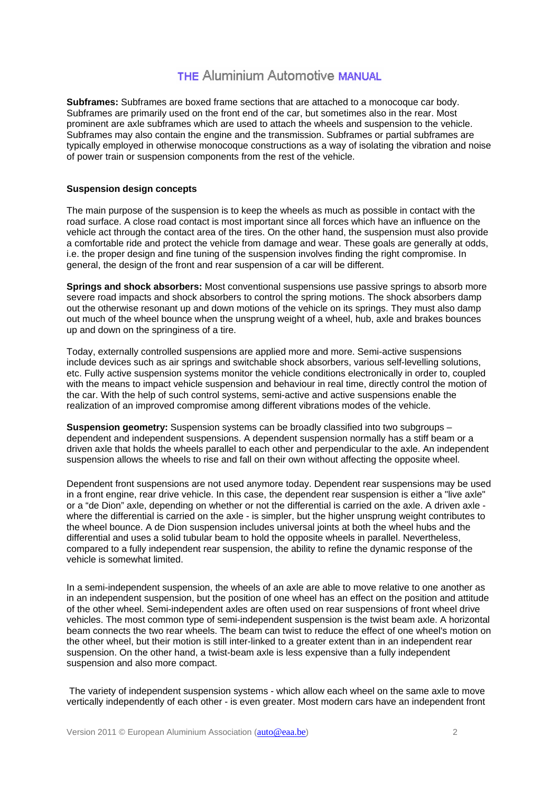### **THE Aluminium Automotive MANUAL**

**Subframes:** Subframes are boxed frame sections that are attached to a monocoque car body. Subframes are primarily used on the front end of the car, but sometimes also in the rear. Most prominent are axle subframes which are used to attach the wheels and suspension to the vehicle. Subframes may also contain the engine and the transmission. Subframes or partial subframes are typically employed in otherwise monocoque constructions as a way of isolating the vibration and noise of power train or suspension components from the rest of the vehicle.

#### **Suspension design concepts**

The main purpose of the suspension is to keep the wheels as much as possible in contact with the road surface. A close road contact is most important since all forces which have an influence on the vehicle act through the contact area of the tires. On the other hand, the suspension must also provide a comfortable ride and protect the vehicle from damage and wear. These goals are generally at odds, i.e. the proper design and fine tuning of the suspension involves finding the right compromise. In general, the design of the front and rear suspension of a car will be different.

**Springs and shock absorbers:** Most conventional suspensions use passive springs to absorb more severe road impacts and shock absorbers to control the spring motions. The shock absorbers damp out the otherwise resonant up and down motions of the vehicle on its springs. They must also damp out much of the wheel bounce wh*e*n the unsprung weight of a wheel, hub, axle and brakes bounces up and down on the springiness of a tire.

Today, externally controlled suspensions are applied more and more. Semi-active suspensions include devices such as air springs and switchable shock absorbers, various self-levelling solutions, etc. Fully active suspension systems monitor the vehicle conditions electronically in order to, coupled with the means to impact vehicle suspension and behaviour in real time, directly control the motion of the car. With the help of such control systems, semi-active and active suspensions enable the realization of an improved compromise among different vibrations modes of the vehicle.

**Suspension geometry:** Suspension systems can be broadly classified into two subgroups – dependent and independent suspensions. A dependent suspension normally has a stiff beam or a driven axle that holds the wheels parallel to each other and perpendicular to the axle. An independent suspension allows the wheels to rise and fall on their own without affecting the opposite wheel.

Dependent front suspensions are not used anymore today. Dependent rear suspensions may be used in a front engine, rear drive vehicle. In this case, the dependent rear suspension is either a "live axle" or a "de Dion" axle, depending on whether or not the differential is carried on the axle. A driven axle where the differential is carried on the axle - is simpler, but the higher unsprung weight contributes to the wheel bounce. A de Dion suspension includes universal joints at both the wheel hubs and the differential and uses a solid tubular beam to hold the opposite wheels in parallel. Nevertheless, compared to a fully independent rear suspension, the ability to refine the dynamic response of the vehicle is somewhat limited.

In a semi-independent suspension, the wheels of an axle are able to move relative to one another as in an independent suspension, but the position of one wheel has an effect on the position and attitude of the other wheel. Semi-independent axles are often used on rear suspensions of front wheel drive vehicles. The most common type of semi-independent suspension is the twist beam axle. A horizontal beam connects the two rear wheels. The beam can twist to reduce the effect of one wheel's motion on the other wheel, but their motion is still inter-linked to a greater extent than in an independent rear suspension. On the other hand, a twist-beam axle is less expensive than a fully independent suspension and also more compact.

 The variety of independent suspension systems - which allow each wheel on the same axle to move vertically independently of each other - is even greater. Most modern cars have an independent front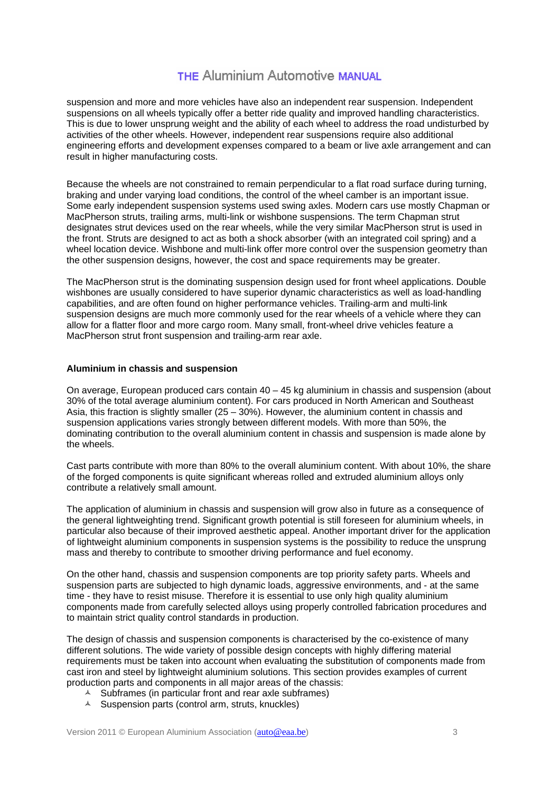### **THE Aluminium Automotive MANUAL**

suspension and more and more vehicles have also an independent rear suspension. Independent suspensions on all wheels typically offer a better ride quality and improved handling characteristics. This is due to lower unsprung weight and the ability of each wheel to address the road undisturbed by activities of the other wheels. However, independent rear suspensions require also additional engineering efforts and development expenses compared to a beam or live axle arrangement and can result in higher manufacturing costs.

Because the wheels are not constrained to remain perpendicular to a flat road surface during turning, braking and under varying load conditions, the control of the wheel camber is an important issue. Some early independent suspension systems used swing axles. Modern cars use mostly Chapman or MacPherson struts, trailing arms, multi-link or wishbone suspensions. The term Chapman strut designates strut devices used on the rear wheels, while the very similar MacPherson strut is used in the front. Struts are designed to act as both a shock absorber (with an integrated coil spring) and a wheel location device. Wishbone and multi-link offer more control over the suspension geometry than the other suspension designs, however, the cost and space requirements may be greater.

The MacPherson strut is the dominating suspension design used for front wheel applications. Double wishbones are usually considered to have superior dynamic characteristics as well as load-handling capabilities, and are often found on higher performance vehicles. Trailing-arm and multi-link suspension designs are much more commonly used for the rear wheels of a vehicle where they can allow for a flatter floor and more cargo room. Many small, front-wheel drive vehicles feature a MacPherson strut front suspension and trailing-arm rear axle.

#### **Aluminium in chassis and suspension**

On average, European produced cars contain 40 – 45 kg aluminium in chassis and suspension (about 30% of the total average aluminium content). For cars produced in North American and Southeast Asia, this fraction is slightly smaller  $(25 - 30%)$ . However, the aluminium content in chassis and suspension applications varies strongly between different models. With more than 50%, the dominating contribution to the overall aluminium content in chassis and suspension is made alone by the wheels.

Cast parts contribute with more than 80% to the overall aluminium content. With about 10%, the share of the forged components is quite significant whereas rolled and extruded aluminium alloys only contribute a relatively small amount.

The application of aluminium in chassis and suspension will grow also in future as a consequence of the general lightweighting trend. Significant growth potential is still foreseen for aluminium wheels, in particular also because of their improved aesthetic appeal. Another important driver for the application of lightweight aluminium components in suspension systems is the possibility to reduce the unsprung mass and thereby to contribute to smoother driving performance and fuel economy.

On the other hand, chassis and suspension components are top priority safety parts. Wheels and suspension parts are subjected to high dynamic loads, aggressive environments, and - at the same time - they have to resist misuse. Therefore it is essential to use only high quality aluminium components made from carefully selected alloys using properly controlled fabrication procedures and to maintain strict quality control standards in production.

The design of chassis and suspension components is characterised by the co-existence of many different solutions. The wide variety of possible design concepts with highly differing material requirements must be taken into account when evaluating the substitution of components made from cast iron and steel by lightweight aluminium solutions. This section provides examples of current production parts and components in all major areas of the chassis:

- $\triangle$  Subframes (in particular front and rear axle subframes)
- $\triangle$  Suspension parts (control arm, struts, knuckles)